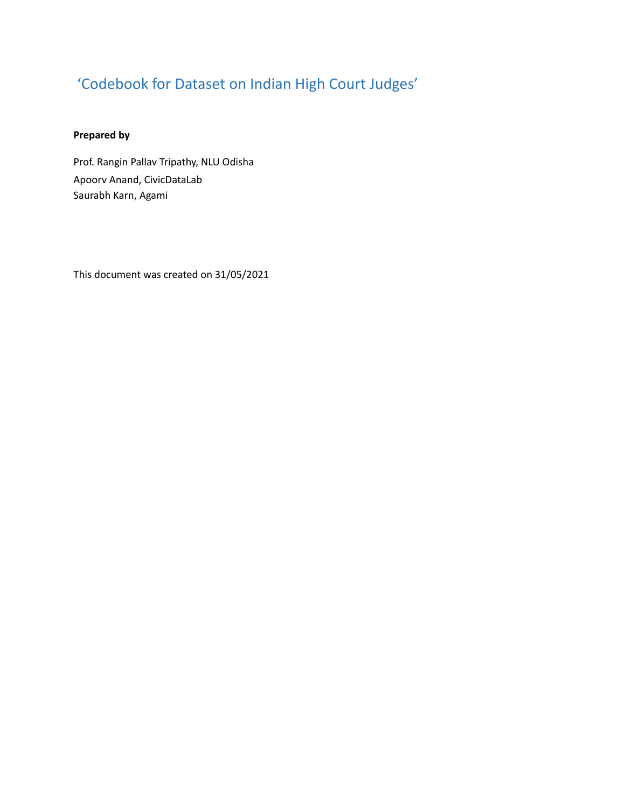# 'Codebook for Dataset on Indian High Court Judges'

# **Prepared by**

Prof. Rangin Pallav Tripathy, NLU Odisha Apoorv Anand, CivicDataLab Saurabh Karn, Agami

This document was created on 31/05/2021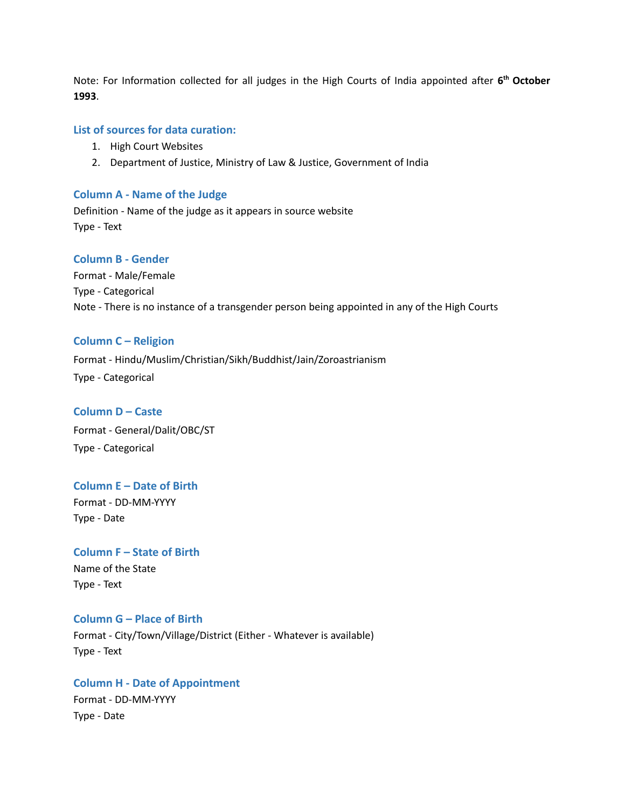Note: For Information collected for all judges in the High Courts of India appointed after **6 th October 1993**.

#### **List of sources for data curation:**

- 1. High Court Websites
- 2. Department of Justice, Ministry of Law & Justice, Government of India

#### **Column A - Name of the Judge**

Definition - Name of the judge as it appears in source website Type - Text

#### **Column B - Gender**

Format - Male/Female Type - Categorical Note - There is no instance of a transgender person being appointed in any of the High Courts

#### **Column C – Religion**

Format - Hindu/Muslim/Christian/Sikh/Buddhist/Jain/Zoroastrianism Type - Categorical

#### **Column D – Caste**

Format - General/Dalit/OBC/ST Type - Categorical

# **Column E – Date of Birth**

Format - DD-MM-YYYY Type - Date

**Column F – State of Birth** Name of the State Type - Text

# **Column G – Place of Birth**

Format - City/Town/Village/District (Either - Whatever is available) Type - Text

# **Column H - Date of Appointment** Format - DD-MM-YYYY Type - Date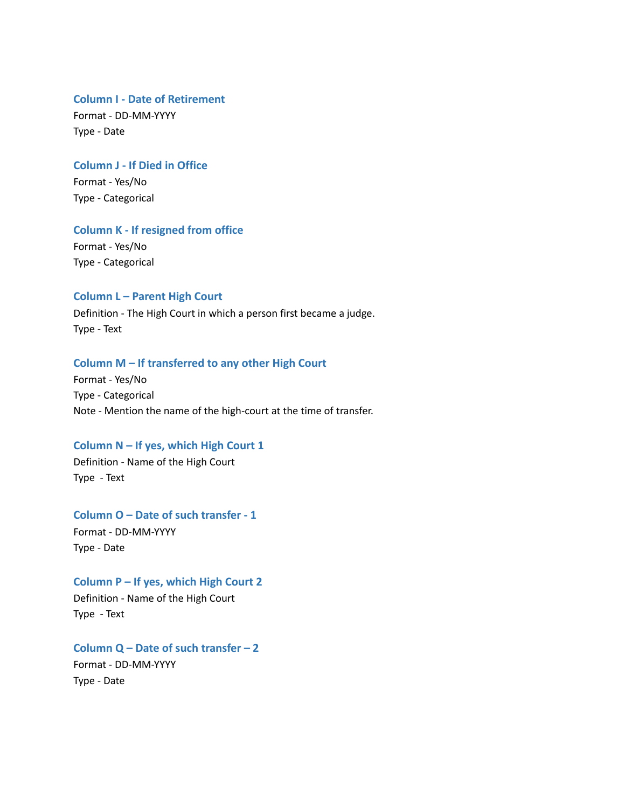#### **Column I - Date of Retirement**

Format - DD-MM-YYYY Type - Date

#### **Column J - If Died in Office**

Format - Yes/No Type - Categorical

## **Column K - If resigned from office**

Format - Yes/No Type - Categorical

#### **Column L – Parent High Court**

Definition - The High Court in which a person first became a judge. Type - Text

#### **Column M – If transferred to any other High Court**

Format - Yes/No Type - Categorical Note - Mention the name of the high-court at the time of transfer.

#### **Column N – If yes, which High Court 1**

Definition - Name of the High Court Type - Text

#### **Column O – Date of such transfer - 1**

Format - DD-MM-YYYY Type - Date

#### **Column P – If yes, which High Court 2**

Definition - Name of the High Court Type - Text

## **Column Q – Date of such transfer – 2**

Format - DD-MM-YYYY Type - Date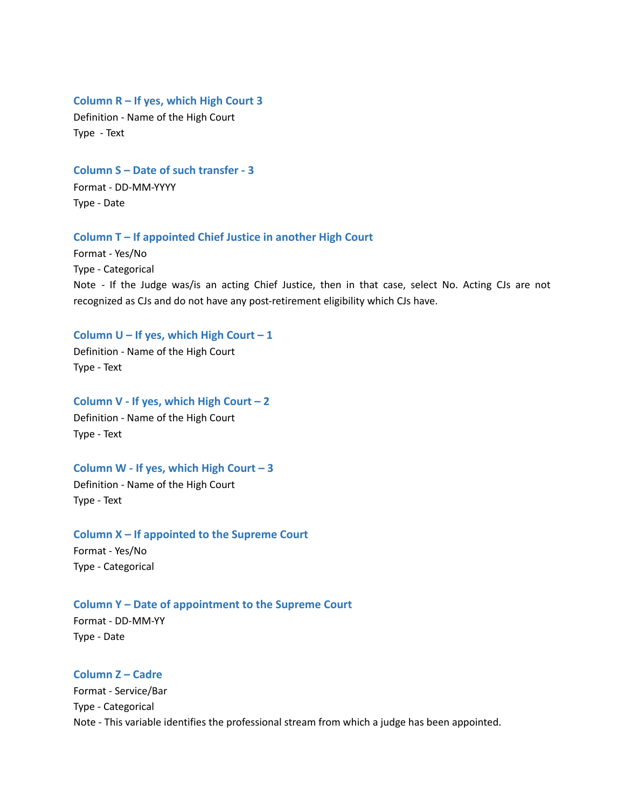#### **Column R – If yes, which High Court 3**

Definition - Name of the High Court Type - Text

**Column S – Date of such transfer - 3** Format - DD-MM-YYYY Type - Date

#### **Column T – If appointed Chief Justice in another High Court**

Format - Yes/No Type - Categorical Note - If the Judge was/is an acting Chief Justice, then in that case, select No. Acting CJs are not recognized as CJs and do not have any post-retirement eligibility which CJs have.

#### **Column U – If yes, which High Court – 1**

Definition - Name of the High Court Type - Text

**Column V - If yes, which High Court – 2** Definition - Name of the High Court Type - Text

# **Column W - If yes, which High Court – 3**

Definition - Name of the High Court Type - Text

**Column X – If appointed to the Supreme Court** Format - Yes/No Type - Categorical

#### **Column Y – Date of appointment to the Supreme Court**

Format - DD-MM-YY Type - Date

#### **Column Z – Cadre**

Format - Service/Bar Type - Categorical Note - This variable identifies the professional stream from which a judge has been appointed.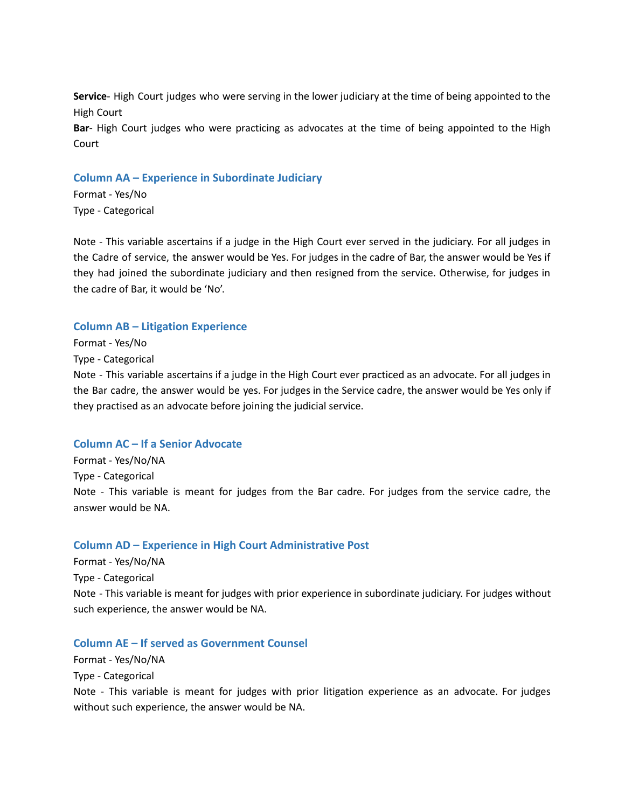**Service**- High Court judges who were serving in the lower judiciary at the time of being appointed to the High Court

**Bar**- High Court judges who were practicing as advocates at the time of being appointed to the High Court

#### **Column AA – Experience in Subordinate Judiciary**

Format - Yes/No Type - Categorical

Note - This variable ascertains if a judge in the High Court ever served in the judiciary. For all judges in the Cadre of service, the answer would be Yes. For judges in the cadre of Bar, the answer would be Yes if they had joined the subordinate judiciary and then resigned from the service. Otherwise, for judges in the cadre of Bar, it would be 'No'.

#### **Column AB – Litigation Experience**

Format - Yes/No

Type - Categorical

Note - This variable ascertains if a judge in the High Court ever practiced as an advocate. For all judges in the Bar cadre, the answer would be yes. For judges in the Service cadre, the answer would be Yes only if they practised as an advocate before joining the judicial service.

### **Column AC – If a Senior Advocate**

Format - Yes/No/NA Type - Categorical Note - This variable is meant for judges from the Bar cadre. For judges from the service cadre, the answer would be NA.

#### **Column AD – Experience in High Court Administrative Post**

Format - Yes/No/NA Type - Categorical Note - This variable is meant for judges with prior experience in subordinate judiciary. For judges without such experience, the answer would be NA.

#### **Column AE – If served as Government Counsel**

Format - Yes/No/NA Type - Categorical

Note - This variable is meant for judges with prior litigation experience as an advocate. For judges without such experience, the answer would be NA.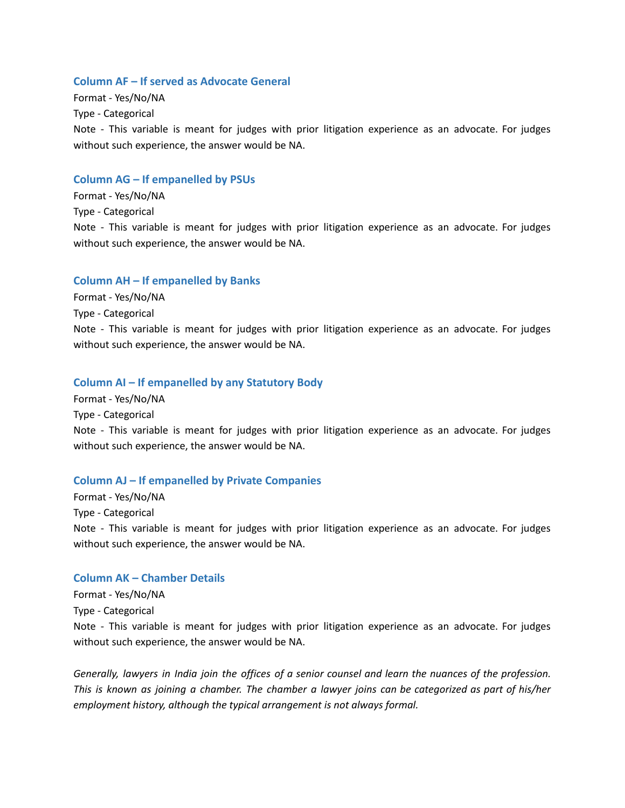#### **Column AF – If served as Advocate General**

Format - Yes/No/NA Type - Categorical Note - This variable is meant for judges with prior litigation experience as an advocate. For judges without such experience, the answer would be NA.

#### **Column AG – If empanelled by PSUs**

Format - Yes/No/NA Type - Categorical Note - This variable is meant for judges with prior litigation experience as an advocate. For judges without such experience, the answer would be NA.

#### **Column AH – If empanelled by Banks**

Format - Yes/No/NA

Type - Categorical

Note - This variable is meant for judges with prior litigation experience as an advocate. For judges without such experience, the answer would be NA.

#### **Column AI – If empanelled by any Statutory Body**

Format - Yes/No/NA Type - Categorical Note - This variable is meant for judges with prior litigation experience as an advocate. For judges without such experience, the answer would be NA.

#### **Column AJ – If empanelled by Private Companies**

Format - Yes/No/NA Type - Categorical Note - This variable is meant for judges with prior litigation experience as an advocate. For judges without such experience, the answer would be NA.

#### **Column AK – Chamber Details**

Format - Yes/No/NA Type - Categorical Note - This variable is meant for judges with prior litigation experience as an advocate. For judges without such experience, the answer would be NA.

Generally, lawyers in India join the offices of a senior counsel and learn the nuances of the profession. This is known as joining a chamber. The chamber a lawyer joins can be categorized as part of his/her *employment history, although the typical arrangement is not always formal.*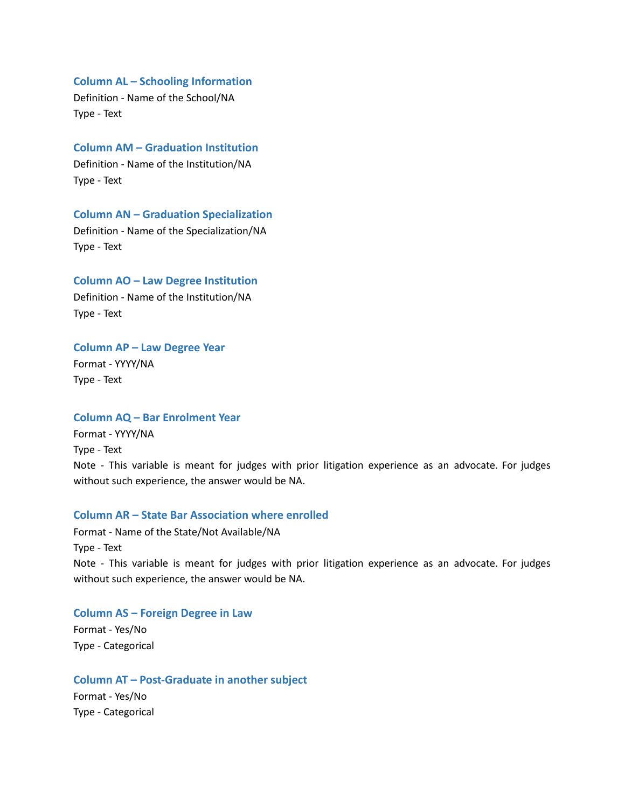#### **Column AL – Schooling Information**

Definition - Name of the School/NA Type - Text

**Column AM – Graduation Institution** Definition - Name of the Institution/NA Type - Text

**Column AN – Graduation Specialization** Definition - Name of the Specialization/NA Type - Text

**Column AO – Law Degree Institution** Definition - Name of the Institution/NA Type - Text

**Column AP – Law Degree Year** Format - YYYY/NA Type - Text

#### **Column AQ – Bar Enrolment Year**

Format - YYYY/NA Type - Text Note - This variable is meant for judges with prior litigation experience as an advocate. For judges without such experience, the answer would be NA.

#### **Column AR – State Bar Association where enrolled**

Format - Name of the State/Not Available/NA Type - Text Note - This variable is meant for judges with prior litigation experience as an advocate. For judges without such experience, the answer would be NA.

**Column AS – Foreign Degree in Law**

Format - Yes/No Type - Categorical

Type - Categorical

**Column AT – Post-Graduate in another subject** Format - Yes/No